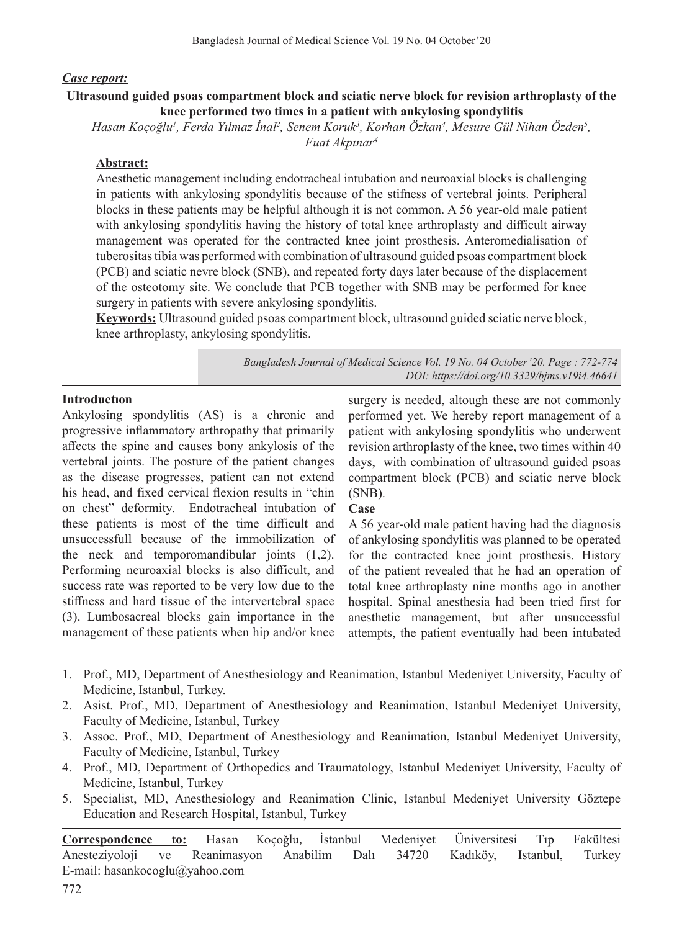## *Case report:*

# **Ultrasound guided psoas compartment block and sciatic nerve block for revision arthroplasty of the knee performed two times in a patient with ankylosing spondylitis**

*Hasan Koçoğlu<sup>1</sup> , Ferda Yılmaz İnal<sup>2</sup> , Senem Koruk3 , Korhan Özkan4 , Mesure Gül Nihan Özden<sup>5</sup> , Fuat Akpınar<sup>4</sup>*

# **Abstract:**

Anesthetic management including endotracheal intubation and neuroaxial blocks is challenging in patients with ankylosing spondylitis because of the stifness of vertebral joints. Peripheral blocks in these patients may be helpful although it is not common. A 56 year-old male patient with ankylosing spondylitis having the history of total knee arthroplasty and difficult airway management was operated for the contracted knee joint prosthesis. Anteromedialisation of tuberositastibia was performed with combination of ultrasound guided psoas compartment block (PCB) and sciatic nevre block (SNB), and repeated forty days later because of the displacement of the osteotomy site. We conclude that PCB together with SNB may be performed for knee surgery in patients with severe ankylosing spondylitis.

**Keywords:** Ultrasound guided psoas compartment block, ultrasound guided sciatic nerve block, knee arthroplasty, ankylosing spondylitis.

> *Bangladesh Journal of Medical Science Vol. 19 No. 04 October'20. Page : 772-774 DOI: https://doi.org/10.3329/bjms.v19i4.46641*

## **Introductıon**

Ankylosing spondylitis (AS) is a chronic and progressive inflammatory arthropathy that primarily affects the spine and causes bony ankylosis of the vertebral joints. The posture of the patient changes as the disease progresses, patient can not extend his head, and fixed cervical flexion results in "chin on chest" deformity. Endotracheal intubation of these patients is most of the time difficult and unsuccessfull because of the immobilization of the neck and temporomandibular joints (1,2). Performing neuroaxial blocks is also difficult, and success rate was reported to be very low due to the stiffness and hard tissue of the intervertebral space (3). Lumbosacreal blocks gain importance in the management of these patients when hip and/or knee

surgery is needed, altough these are not commonly performed yet. We hereby report management of a patient with ankylosing spondylitis who underwent revision arthroplasty of the knee, two times within 40 days, with combination of ultrasound guided psoas compartment block (PCB) and sciatic nerve block (SNB).

### **Case**

A 56 year-old male patient having had the diagnosis of ankylosing spondylitis was planned to be operated for the contracted knee joint prosthesis. History of the patient revealed that he had an operation of total knee arthroplasty nine months ago in another hospital. Spinal anesthesia had been tried first for anesthetic management, but after unsuccessful attempts, the patient eventually had been intubated

- 1. Prof., MD, Department of Anesthesiology and Reanimation, Istanbul Medeniyet University, Faculty of Medicine, Istanbul, Turkey.
- 2. Asist. Prof., MD, Department of Anesthesiology and Reanimation, Istanbul Medeniyet University, Faculty of Medicine, Istanbul, Turkey
- 3. Assoc. Prof., MD, Department of Anesthesiology and Reanimation, Istanbul Medeniyet University, Faculty of Medicine, Istanbul, Turkey
- 4. Prof., MD, Department of Orthopedics and Traumatology, Istanbul Medeniyet University, Faculty of Medicine, Istanbul, Turkey
- 5. Specialist, MD, Anesthesiology and Reanimation Clinic, Istanbul Medeniyet University Göztepe Education and Research Hospital, Istanbul, Turkey

**Correspondence to:** Hasan Koçoğlu, İstanbul Medeniyet Üniversitesi Tıp Fakültesi Anesteziyoloji ve Reanimasyon Anabilim Dalı 34720 Kadıköy, Istanbul, Turkey E-mail: hasankocoglu@yahoo.com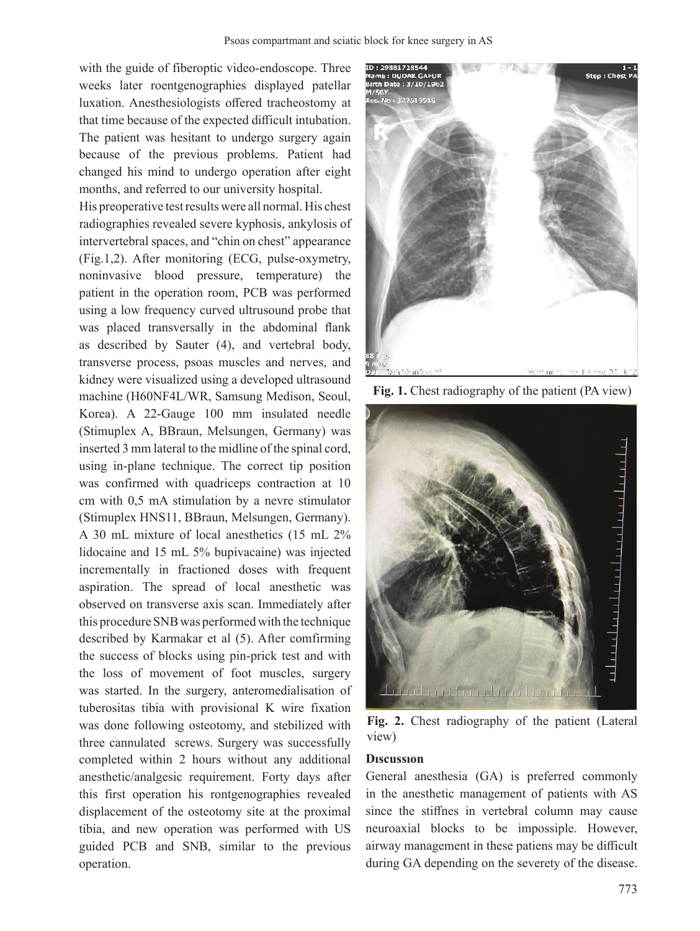with the guide of fiberoptic video-endoscope. Three weeks later roentgenographies displayed patellar luxation. Anesthesiologists offered tracheostomy at that time because of the expected difficult intubation. The patient was hesitant to undergo surgery again because of the previous problems. Patient had changed his mind to undergo operation after eight months, and referred to our university hospital.

His preoperative testresults were all normal. His chest radiographies revealed severe kyphosis, ankylosis of intervertebral spaces, and "chin on chest" appearance (Fig.1,2). After monitoring (ECG, pulse-oxymetry, noninvasive blood pressure, temperature) the patient in the operation room, PCB was performed using a low frequency curved ultrusound probe that was placed transversally in the abdominal flank as described by Sauter (4), and vertebral body, transverse process, psoas muscles and nerves, and kidney were visualized using a developed ultrasound machine (H60NF4L/WR, Samsung Medison, Seoul, Korea). A 22-Gauge 100 mm insulated needle (Stimuplex A, BBraun, Melsungen, Germany) was inserted 3 mm lateral to the midline of the spinal cord, using in-plane technique. The correct tip position was confirmed with quadriceps contraction at 10 cm with 0,5 mA stimulation by a nevre stimulator (Stimuplex HNS11, BBraun, Melsungen, Germany). A 30 mL mixture of local anesthetics (15 mL 2% lidocaine and 15 mL 5% bupivacaine) was injected incrementally in fractioned doses with frequent aspiration. The spread of local anesthetic was observed on transverse axis scan. Immediately after this procedure SNB was performed with the technique described by Karmakar et al (5). After comfirming the success of blocks using pin-prick test and with the loss of movement of foot muscles, surgery was started. In the surgery, anteromedialisation of tuberositas tibia with provisional K wire fixation was done following osteotomy, and stebilized with three cannulated screws. Surgery was successfully completed within 2 hours without any additional anesthetic/analgesic requirement. Forty days after this first operation his rontgenographies revealed displacement of the osteotomy site at the proximal tibia, and new operation was performed with US guided PCB and SNB, similar to the previous operation.



Fig. 1. Chest radiography of the patient (PA view)



Fig. 2. Chest radiography of the patient (Lateral view)

### **Dıscussıon**

General anesthesia (GA) is preferred commonly in the anesthetic management of patients with AS since the stiffnes in vertebral column may cause neuroaxial blocks to be impossiple. However, airway management in these patiens may be difficult during GA depending on the severety of the disease.